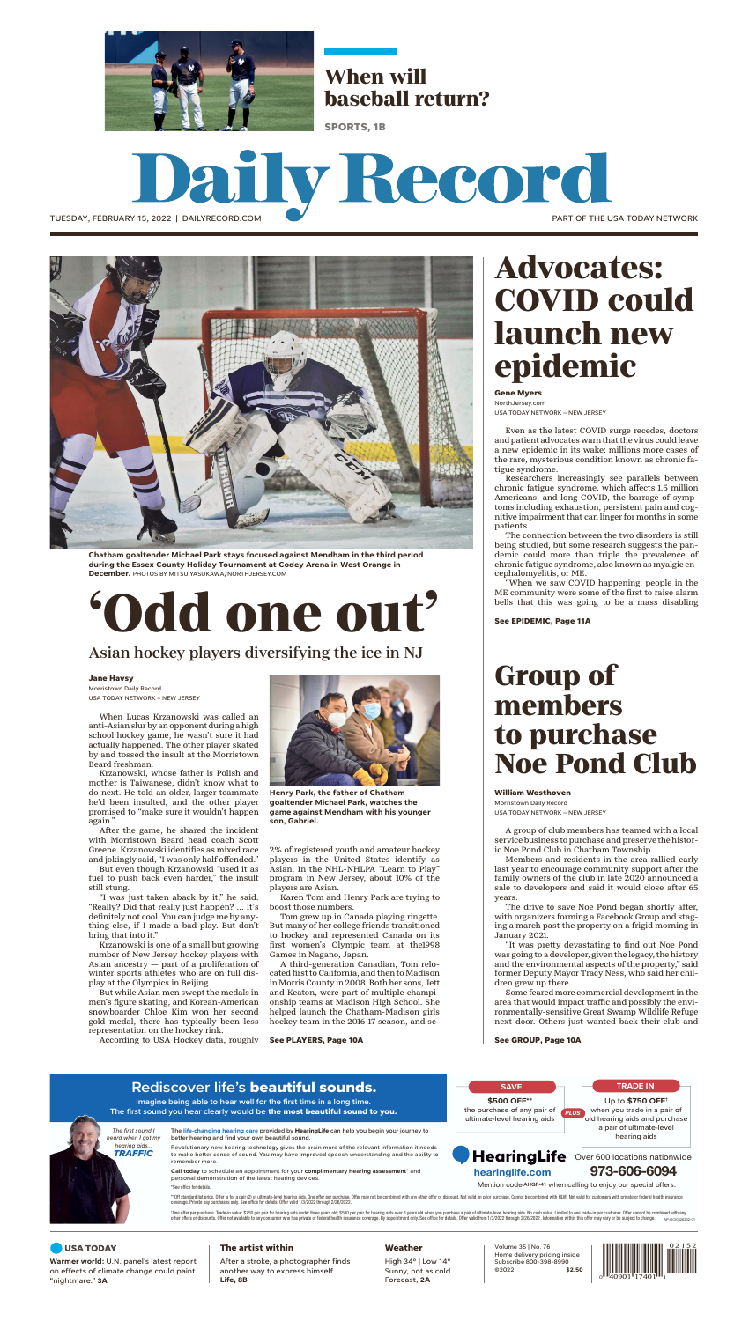

TUESDAY, FEBRUARY 15, 2022 | DAILYRECORD.COM



**Chatham goaltender Michael Park stays focused against Mendham in the third period during the Essex County Holiday Tournament at Codey Arena in West Orange in December.** PHOTOS BY MITSU YASUKAWA/NORTHJERSEY.COM

# **'Odd one out'**

### Asian hockey players diversifying the ice in NJ

#### **Jane Havsy**

Morristown Daily Record USA TODAY NETWORK – NEW JERSEY

When Lucas Krzanowski was called an anti-Asian slur by an opponent during a high school hockey game, he wasn't sure it had actually happened. The other player skated by and tossed the insult at the Morristown Beard freshman.

Krzanowski, whose father is Polish and mother is Taiwanese, didn't know what to do next. He told an older, larger teammate he'd been insulted, and the other player promised to "make sure it wouldn't happen again."

After the game, he shared the incident with Morristown Beard head coach Scott Greene. Krzanowski identifies as mixed race and jokingly said, "I was only half offended."

But even though Krzanowski "used it as fuel to push back even harder," the insult still stung.

"I was just taken aback by it," he said. "Really? Did that really just happen? ... It's definitely not cool. You can judge me by anything else, if I made a bad play. But don't bring that into it."

Krzanowski is one of a small but growing number of New Jersey hockey players with Asian ancestry — part of a proliferation of winter sports athletes who are on full display at the Olympics in Beijing.

But while Asian men swept the medals in men's figure skating, and Korean-American snowboarder Chloe Kim won her second gold medal, there has typically been less representation on the hockey rink.

According to USA Hockey data, roughly



**Henry Park, the father of Chatham goaltender Michael Park, watches the game against Mendham with his younger son, Gabriel.** 

2% of registered youth and amateur hockey players in the United States identify as Asian. In the NHL-NHLPA "Learn to Play" program in New Jersey, about 10% of the players are Asian.

Karen Tom and Henry Park are trying to boost those numbers.

Tom grew up in Canada playing ringette. But many of her college friends transitioned to hockey and represented Canada on its first women's Olympic team at the1998 Games in Nagano, Japan.

A third-generation Canadian, Tom relocated first to California, and then to Madison in Morris County in 2008. Both her sons, Jett and Keaton, were part of multiple championship teams at Madison High School. She helped launch the Chatham-Madison girls hockey team in the 2016-17 season, and se-

#### **See PLAYERS, Page 10A**